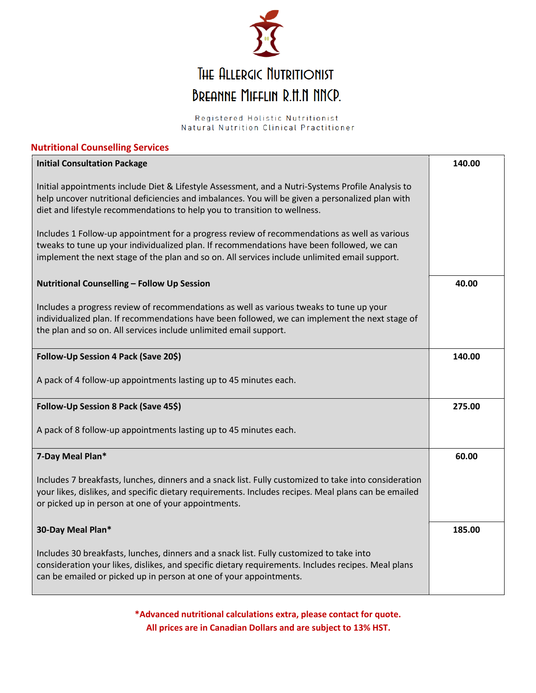

# THE ALLERGIC NUTRITIONIST BREANNE MIFFLIN R.H.N NNCP.

Registered Holistic Nutritionist Natural Nutrition Clinical Practitioner

## **Nutritional Counselling Services**

| <b>Initial Consultation Package</b>                                                                                                                                                                                                                                                        | 140.00 |
|--------------------------------------------------------------------------------------------------------------------------------------------------------------------------------------------------------------------------------------------------------------------------------------------|--------|
| Initial appointments include Diet & Lifestyle Assessment, and a Nutri-Systems Profile Analysis to<br>help uncover nutritional deficiencies and imbalances. You will be given a personalized plan with<br>diet and lifestyle recommendations to help you to transition to wellness.         |        |
| Includes 1 Follow-up appointment for a progress review of recommendations as well as various<br>tweaks to tune up your individualized plan. If recommendations have been followed, we can<br>implement the next stage of the plan and so on. All services include unlimited email support. |        |
| Nutritional Counselling - Follow Up Session                                                                                                                                                                                                                                                | 40.00  |
| Includes a progress review of recommendations as well as various tweaks to tune up your<br>individualized plan. If recommendations have been followed, we can implement the next stage of<br>the plan and so on. All services include unlimited email support.                             |        |
| Follow-Up Session 4 Pack (Save 20\$)                                                                                                                                                                                                                                                       | 140.00 |
| A pack of 4 follow-up appointments lasting up to 45 minutes each.                                                                                                                                                                                                                          |        |
| Follow-Up Session 8 Pack (Save 45\$)                                                                                                                                                                                                                                                       | 275.00 |
| A pack of 8 follow-up appointments lasting up to 45 minutes each.                                                                                                                                                                                                                          |        |
| 7-Day Meal Plan*                                                                                                                                                                                                                                                                           | 60.00  |
| Includes 7 breakfasts, lunches, dinners and a snack list. Fully customized to take into consideration<br>your likes, dislikes, and specific dietary requirements. Includes recipes. Meal plans can be emailed<br>or picked up in person at one of your appointments.                       |        |
| 30-Day Meal Plan*                                                                                                                                                                                                                                                                          | 185.00 |
| Includes 30 breakfasts, lunches, dinners and a snack list. Fully customized to take into<br>consideration your likes, dislikes, and specific dietary requirements. Includes recipes. Meal plans<br>can be emailed or picked up in person at one of your appointments.                      |        |

**\*Advanced nutritional calculations extra, please contact for quote. All prices are in Canadian Dollars and are subject to 13% HST.**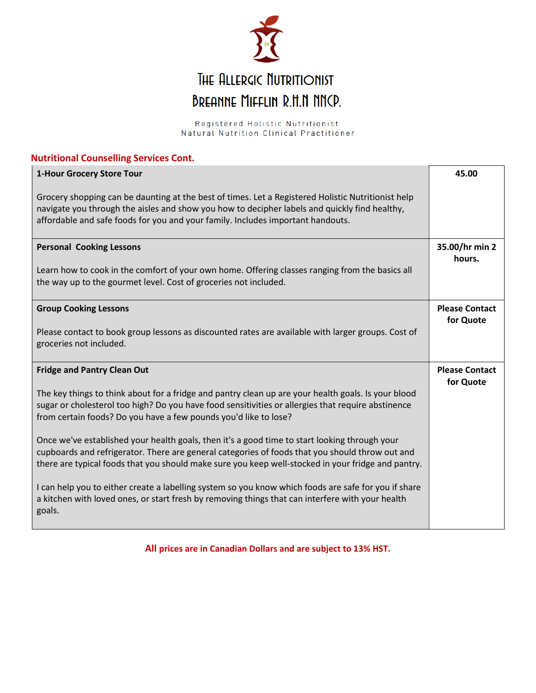

Registered Holistic Nutritionist Natural Nutrition Clinical Practitioner

| <b>Nutritional Counselling Services Cont.</b>                                                                                                                                                                                                                                                          |                                    |  |
|--------------------------------------------------------------------------------------------------------------------------------------------------------------------------------------------------------------------------------------------------------------------------------------------------------|------------------------------------|--|
| 1-Hour Grocery Store Tour                                                                                                                                                                                                                                                                              | 45.00                              |  |
| Grocery shopping can be daunting at the best of times. Let a Registered Holistic Nutritionist help<br>navigate you through the aisles and show you how to decipher labels and quickly find healthy,<br>affordable and safe foods for you and your family. Includes important handouts.                 |                                    |  |
| <b>Personal Cooking Lessons</b>                                                                                                                                                                                                                                                                        | 35.00/hr min 2<br>hours.           |  |
| Learn how to cook in the comfort of your own home. Offering classes ranging from the basics all<br>the way up to the gourmet level. Cost of groceries not included.                                                                                                                                    |                                    |  |
| <b>Group Cooking Lessons</b>                                                                                                                                                                                                                                                                           | <b>Please Contact</b><br>for Quote |  |
| Please contact to book group lessons as discounted rates are available with larger groups. Cost of<br>groceries not included.                                                                                                                                                                          |                                    |  |
| <b>Fridge and Pantry Clean Out</b>                                                                                                                                                                                                                                                                     | <b>Please Contact</b><br>for Quote |  |
| The key things to think about for a fridge and pantry clean up are your health goals. Is your blood<br>sugar or cholesterol too high? Do you have food sensitivities or allergies that require abstinence<br>from certain foods? Do you have a few pounds you'd like to lose?                          |                                    |  |
| Once we've established your health goals, then it's a good time to start looking through your<br>cupboards and refrigerator. There are general categories of foods that you should throw out and<br>there are typical foods that you should make sure you keep well-stocked in your fridge and pantry. |                                    |  |
| I can help you to either create a labelling system so you know which foods are safe for you if share<br>a kitchen with loved ones, or start fresh by removing things that can interfere with your health<br>goals.                                                                                     |                                    |  |

**All prices are in Canadian Dollars and are subject to 13% HST.**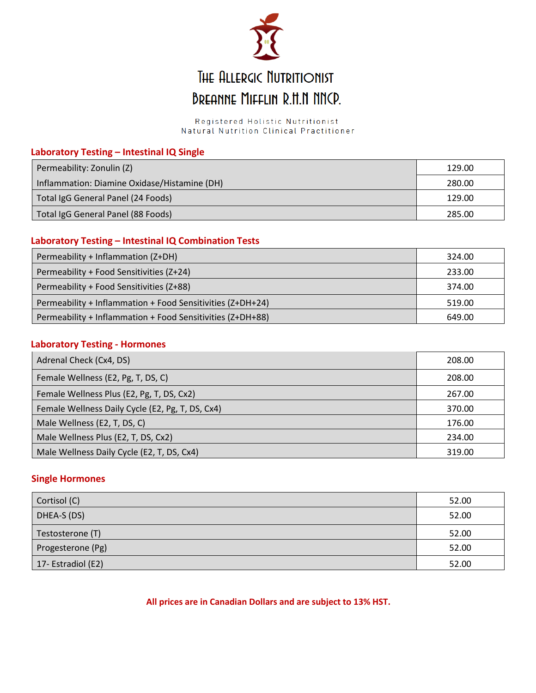

# THE ALLERGIC NUTRITIONIST **BREANNE MIFFLIN R.H.N NNCP.**

Registered Holistic Nutritionist Natural Nutrition Clinical Practitioner

## **Laboratory Testing – Intestinal IQ Single**

| Permeability: Zonulin (Z)                    | 129.00 |
|----------------------------------------------|--------|
| Inflammation: Diamine Oxidase/Histamine (DH) | 280.00 |
| Total IgG General Panel (24 Foods)           | 129.00 |
| Total IgG General Panel (88 Foods)           | 285.00 |

### **Laboratory Testing – Intestinal IQ Combination Tests**

| Permeability + Inflammation (Z+DH)                         | 324.00 |
|------------------------------------------------------------|--------|
| Permeability + Food Sensitivities (Z+24)                   | 233.00 |
| Permeability + Food Sensitivities (Z+88)                   | 374.00 |
| Permeability + Inflammation + Food Sensitivities (Z+DH+24) | 519.00 |
| Permeability + Inflammation + Food Sensitivities (Z+DH+88) | 649.00 |

### **Laboratory Testing - Hormones**

| Adrenal Check (Cx4, DS)                          | 208.00 |
|--------------------------------------------------|--------|
| Female Wellness (E2, Pg, T, DS, C)               | 208.00 |
| Female Wellness Plus (E2, Pg, T, DS, Cx2)        | 267.00 |
| Female Wellness Daily Cycle (E2, Pg, T, DS, Cx4) | 370.00 |
| Male Wellness (E2, T, DS, C)                     | 176.00 |
| Male Wellness Plus (E2, T, DS, Cx2)              | 234.00 |
| Male Wellness Daily Cycle (E2, T, DS, Cx4)       | 319.00 |

### **Single Hormones**

| Cortisol (C)       | 52.00 |
|--------------------|-------|
| DHEA-S (DS)        | 52.00 |
| Testosterone (T)   | 52.00 |
| Progesterone (Pg)  | 52.00 |
| 17- Estradiol (E2) | 52.00 |

**All prices are in Canadian Dollars and are subject to 13% HST.**